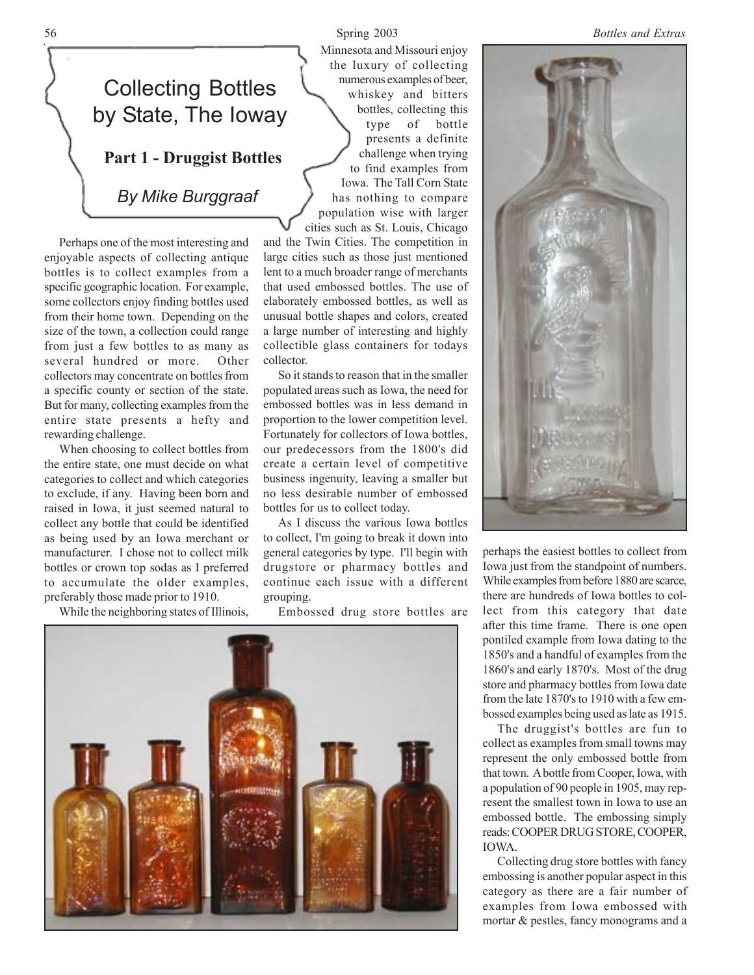## Collecting Bottles by State, The Ioway

**Part 1 - Druggist Bottles**

*By Mike Burggraaf*

Perhaps one of the most interesting and enjoyable aspects of collecting antique bottles is to collect examples from a specific geographic location. For example, some collectors enjoy finding bottles used from their home town. Depending on the size of the town, a collection could range from just a few bottles to as many as several hundred or more. Other collectors may concentrate on bottles from a specific county or section of the state. But for many, collecting examples from the entire state presents a hefty and rewarding challenge.

When choosing to collect bottles from the entire state, one must decide on what categories to collect and which categories to exclude, if any. Having been born and raised in Iowa, it just seemed natural to collect any bottle that could be identified as being used by an Iowa merchant or manufacturer. I chose not to collect milk bottles or crown top sodas as I preferred to accumulate the older examples, preferably those made prior to 1910.

While the neighboring states of Illinois,

Minnesota and Missouri enjoy the luxury of collecting numerous examples of beer, whiskey and bitters bottles, collecting this type of bottle presents a definite challenge when trying to find examples from Iowa. The Tall Corn State has nothing to compare population wise with larger

cities such as St. Louis, Chicago and the Twin Cities. The competition in large cities such as those just mentioned lent to a much broader range of merchants that used embossed bottles. The use of elaborately embossed bottles, as well as unusual bottle shapes and colors, created a large number of interesting and highly collectible glass containers for todays collector.

So it stands to reason that in the smaller populated areas such as Iowa, the need for embossed bottles was in less demand in proportion to the lower competition level. Fortunately for collectors of Iowa bottles, our predecessors from the 1800's did create a certain level of competitive business ingenuity, leaving a smaller but no less desirable number of embossed bottles for us to collect today.

As I discuss the various Iowa bottles to collect, I'm going to break it down into general categories by type. I'll begin with drugstore or pharmacy bottles and continue each issue with a different grouping.

Embossed drug store bottles are





perhaps the easiest bottles to collect from Iowa just from the standpoint of numbers. While examples from before 1880 are scarce, there are hundreds of Iowa bottles to collect from this category that date after this time frame. There is one open pontiled example from Iowa dating to the 1850's and a handful of examples from the 1860's and early 1870's. Most of the drug store and pharmacy bottles from Iowa date from the late 1870's to 1910 with a few embossed examples being used as late as 1915.

The druggist's bottles are fun to collect as examples from small towns may represent the only embossed bottle from that town. A bottle from Cooper, Iowa, with a population of 90 people in 1905, may represent the smallest town in Iowa to use an embossed bottle. The embossing simply reads: COOPER DRUG STORE, COOPER, IOWA.

Collecting drug store bottles with fancy embossing is another popular aspect in this category as there are a fair number of examples from Iowa embossed with mortar & pestles, fancy monograms and a